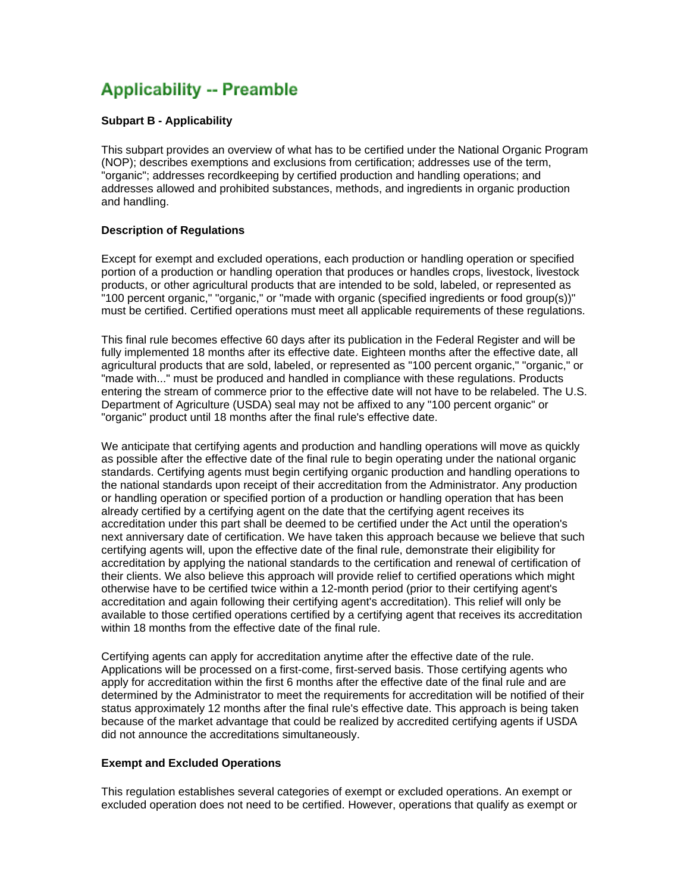# **Applicability -- Preamble**

### **Subpart B - Applicability**

This subpart provides an overview of what has to be certified under the National Organic Program (NOP); describes exemptions and exclusions from certification; addresses use of the term, "organic"; addresses recordkeeping by certified production and handling operations; and addresses allowed and prohibited substances, methods, and ingredients in organic production and handling.

## **Description of Regulations**

Except for exempt and excluded operations, each production or handling operation or specified portion of a production or handling operation that produces or handles crops, livestock, livestock products, or other agricultural products that are intended to be sold, labeled, or represented as "100 percent organic," "organic," or "made with organic (specified ingredients or food group(s))" must be certified. Certified operations must meet all applicable requirements of these regulations.

This final rule becomes effective 60 days after its publication in the Federal Register and will be fully implemented 18 months after its effective date. Eighteen months after the effective date, all agricultural products that are sold, labeled, or represented as "100 percent organic," "organic," or "made with..." must be produced and handled in compliance with these regulations. Products entering the stream of commerce prior to the effective date will not have to be relabeled. The U.S. Department of Agriculture (USDA) seal may not be affixed to any "100 percent organic" or "organic" product until 18 months after the final rule's effective date.

We anticipate that certifying agents and production and handling operations will move as quickly as possible after the effective date of the final rule to begin operating under the national organic standards. Certifying agents must begin certifying organic production and handling operations to the national standards upon receipt of their accreditation from the Administrator. Any production or handling operation or specified portion of a production or handling operation that has been already certified by a certifying agent on the date that the certifying agent receives its accreditation under this part shall be deemed to be certified under the Act until the operation's next anniversary date of certification. We have taken this approach because we believe that such certifying agents will, upon the effective date of the final rule, demonstrate their eligibility for accreditation by applying the national standards to the certification and renewal of certification of their clients. We also believe this approach will provide relief to certified operations which might otherwise have to be certified twice within a 12-month period (prior to their certifying agent's accreditation and again following their certifying agent's accreditation). This relief will only be available to those certified operations certified by a certifying agent that receives its accreditation within 18 months from the effective date of the final rule.

Certifying agents can apply for accreditation anytime after the effective date of the rule. Applications will be processed on a first-come, first-served basis. Those certifying agents who apply for accreditation within the first 6 months after the effective date of the final rule and are determined by the Administrator to meet the requirements for accreditation will be notified of their status approximately 12 months after the final rule's effective date. This approach is being taken because of the market advantage that could be realized by accredited certifying agents if USDA did not announce the accreditations simultaneously.

#### **Exempt and Excluded Operations**

This regulation establishes several categories of exempt or excluded operations. An exempt or excluded operation does not need to be certified. However, operations that qualify as exempt or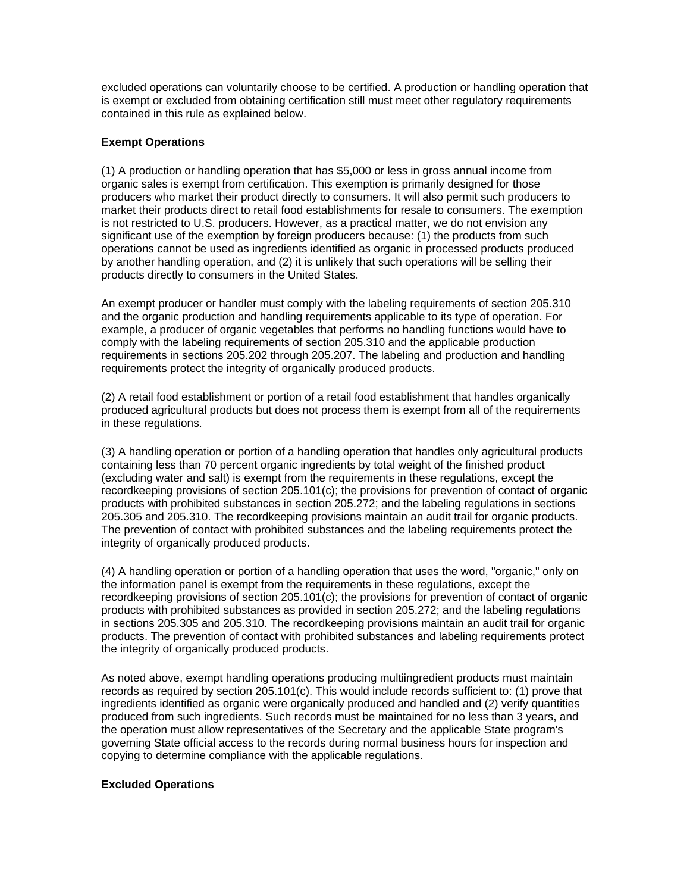excluded operations can voluntarily choose to be certified. A production or handling operation that is exempt or excluded from obtaining certification still must meet other regulatory requirements contained in this rule as explained below.

# **Exempt Operations**

(1) A production or handling operation that has \$5,000 or less in gross annual income from organic sales is exempt from certification. This exemption is primarily designed for those producers who market their product directly to consumers. It will also permit such producers to market their products direct to retail food establishments for resale to consumers. The exemption is not restricted to U.S. producers. However, as a practical matter, we do not envision any significant use of the exemption by foreign producers because: (1) the products from such operations cannot be used as ingredients identified as organic in processed products produced by another handling operation, and (2) it is unlikely that such operations will be selling their products directly to consumers in the United States.

An exempt producer or handler must comply with the labeling requirements of section 205.310 and the organic production and handling requirements applicable to its type of operation. For example, a producer of organic vegetables that performs no handling functions would have to comply with the labeling requirements of section 205.310 and the applicable production requirements in sections 205.202 through 205.207. The labeling and production and handling requirements protect the integrity of organically produced products.

(2) A retail food establishment or portion of a retail food establishment that handles organically produced agricultural products but does not process them is exempt from all of the requirements in these regulations.

(3) A handling operation or portion of a handling operation that handles only agricultural products containing less than 70 percent organic ingredients by total weight of the finished product (excluding water and salt) is exempt from the requirements in these regulations, except the recordkeeping provisions of section 205.101(c); the provisions for prevention of contact of organic products with prohibited substances in section 205.272; and the labeling regulations in sections 205.305 and 205.310. The recordkeeping provisions maintain an audit trail for organic products. The prevention of contact with prohibited substances and the labeling requirements protect the integrity of organically produced products.

(4) A handling operation or portion of a handling operation that uses the word, "organic," only on the information panel is exempt from the requirements in these regulations, except the recordkeeping provisions of section 205.101(c); the provisions for prevention of contact of organic products with prohibited substances as provided in section 205.272; and the labeling regulations in sections 205.305 and 205.310. The recordkeeping provisions maintain an audit trail for organic products. The prevention of contact with prohibited substances and labeling requirements protect the integrity of organically produced products.

As noted above, exempt handling operations producing multiingredient products must maintain records as required by section 205.101(c). This would include records sufficient to: (1) prove that ingredients identified as organic were organically produced and handled and (2) verify quantities produced from such ingredients. Such records must be maintained for no less than 3 years, and the operation must allow representatives of the Secretary and the applicable State program's governing State official access to the records during normal business hours for inspection and copying to determine compliance with the applicable regulations.

#### **Excluded Operations**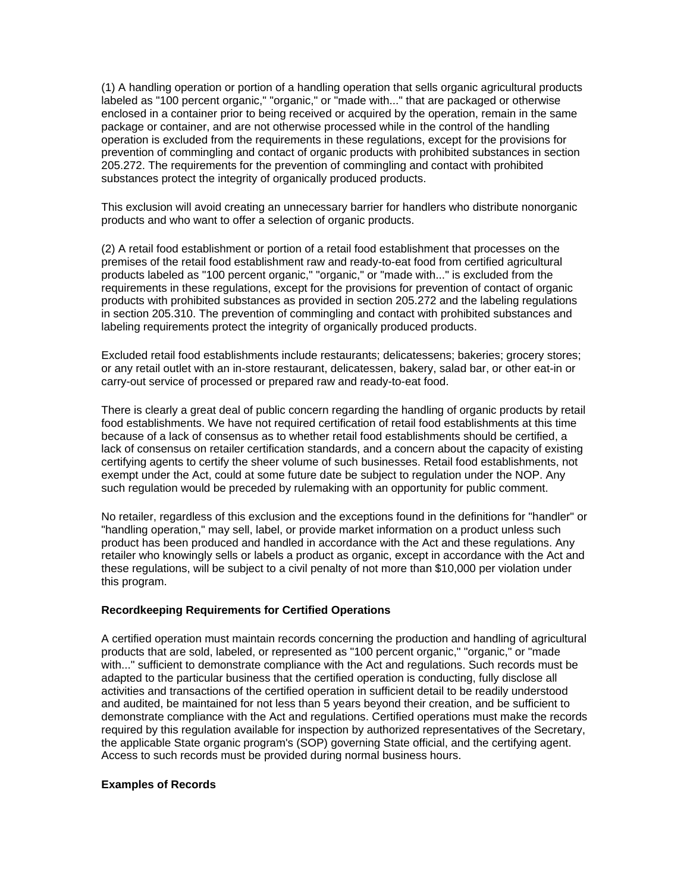(1) A handling operation or portion of a handling operation that sells organic agricultural products labeled as "100 percent organic," "organic," or "made with..." that are packaged or otherwise enclosed in a container prior to being received or acquired by the operation, remain in the same package or container, and are not otherwise processed while in the control of the handling operation is excluded from the requirements in these regulations, except for the provisions for prevention of commingling and contact of organic products with prohibited substances in section 205.272. The requirements for the prevention of commingling and contact with prohibited substances protect the integrity of organically produced products.

This exclusion will avoid creating an unnecessary barrier for handlers who distribute nonorganic products and who want to offer a selection of organic products.

(2) A retail food establishment or portion of a retail food establishment that processes on the premises of the retail food establishment raw and ready-to-eat food from certified agricultural products labeled as "100 percent organic," "organic," or "made with..." is excluded from the requirements in these regulations, except for the provisions for prevention of contact of organic products with prohibited substances as provided in section 205.272 and the labeling regulations in section 205.310. The prevention of commingling and contact with prohibited substances and labeling requirements protect the integrity of organically produced products.

Excluded retail food establishments include restaurants; delicatessens; bakeries; grocery stores; or any retail outlet with an in-store restaurant, delicatessen, bakery, salad bar, or other eat-in or carry-out service of processed or prepared raw and ready-to-eat food.

There is clearly a great deal of public concern regarding the handling of organic products by retail food establishments. We have not required certification of retail food establishments at this time because of a lack of consensus as to whether retail food establishments should be certified, a lack of consensus on retailer certification standards, and a concern about the capacity of existing certifying agents to certify the sheer volume of such businesses. Retail food establishments, not exempt under the Act, could at some future date be subject to regulation under the NOP. Any such regulation would be preceded by rulemaking with an opportunity for public comment.

No retailer, regardless of this exclusion and the exceptions found in the definitions for "handler" or "handling operation," may sell, label, or provide market information on a product unless such product has been produced and handled in accordance with the Act and these regulations. Any retailer who knowingly sells or labels a product as organic, except in accordance with the Act and these regulations, will be subject to a civil penalty of not more than \$10,000 per violation under this program.

#### **Recordkeeping Requirements for Certified Operations**

A certified operation must maintain records concerning the production and handling of agricultural products that are sold, labeled, or represented as "100 percent organic," "organic," or "made with..." sufficient to demonstrate compliance with the Act and regulations. Such records must be adapted to the particular business that the certified operation is conducting, fully disclose all activities and transactions of the certified operation in sufficient detail to be readily understood and audited, be maintained for not less than 5 years beyond their creation, and be sufficient to demonstrate compliance with the Act and regulations. Certified operations must make the records required by this regulation available for inspection by authorized representatives of the Secretary, the applicable State organic program's (SOP) governing State official, and the certifying agent. Access to such records must be provided during normal business hours.

#### **Examples of Records**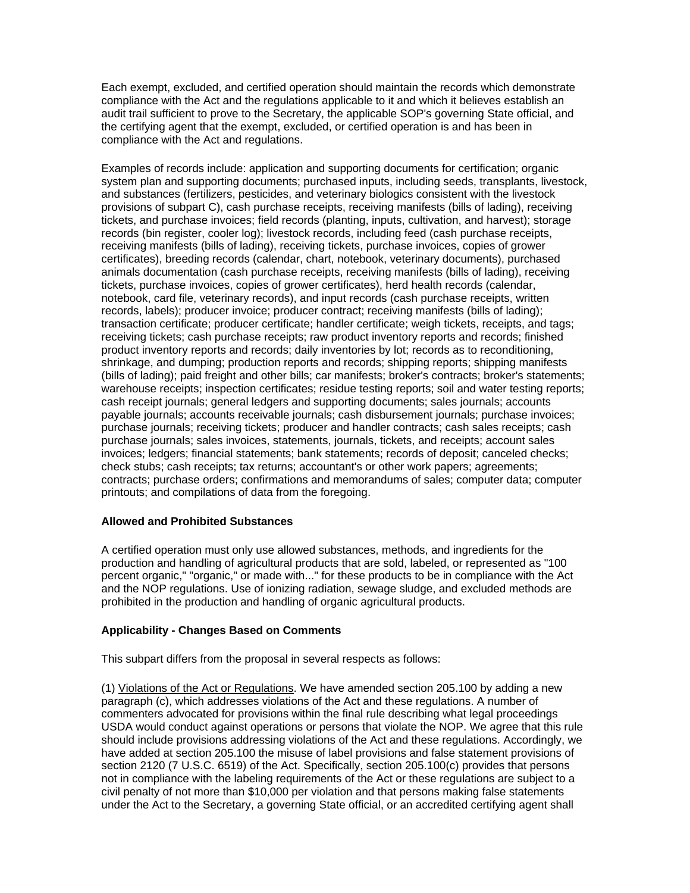Each exempt, excluded, and certified operation should maintain the records which demonstrate compliance with the Act and the regulations applicable to it and which it believes establish an audit trail sufficient to prove to the Secretary, the applicable SOP's governing State official, and the certifying agent that the exempt, excluded, or certified operation is and has been in compliance with the Act and regulations.

Examples of records include: application and supporting documents for certification; organic system plan and supporting documents; purchased inputs, including seeds, transplants, livestock, and substances (fertilizers, pesticides, and veterinary biologics consistent with the livestock provisions of subpart C), cash purchase receipts, receiving manifests (bills of lading), receiving tickets, and purchase invoices; field records (planting, inputs, cultivation, and harvest); storage records (bin register, cooler log); livestock records, including feed (cash purchase receipts, receiving manifests (bills of lading), receiving tickets, purchase invoices, copies of grower certificates), breeding records (calendar, chart, notebook, veterinary documents), purchased animals documentation (cash purchase receipts, receiving manifests (bills of lading), receiving tickets, purchase invoices, copies of grower certificates), herd health records (calendar, notebook, card file, veterinary records), and input records (cash purchase receipts, written records, labels); producer invoice; producer contract; receiving manifests (bills of lading); transaction certificate; producer certificate; handler certificate; weigh tickets, receipts, and tags; receiving tickets; cash purchase receipts; raw product inventory reports and records; finished product inventory reports and records; daily inventories by lot; records as to reconditioning, shrinkage, and dumping; production reports and records; shipping reports; shipping manifests (bills of lading); paid freight and other bills; car manifests; broker's contracts; broker's statements; warehouse receipts; inspection certificates; residue testing reports; soil and water testing reports; cash receipt journals; general ledgers and supporting documents; sales journals; accounts payable journals; accounts receivable journals; cash disbursement journals; purchase invoices; purchase journals; receiving tickets; producer and handler contracts; cash sales receipts; cash purchase journals; sales invoices, statements, journals, tickets, and receipts; account sales invoices; ledgers; financial statements; bank statements; records of deposit; canceled checks; check stubs; cash receipts; tax returns; accountant's or other work papers; agreements; contracts; purchase orders; confirmations and memorandums of sales; computer data; computer printouts; and compilations of data from the foregoing.

#### **Allowed and Prohibited Substances**

A certified operation must only use allowed substances, methods, and ingredients for the production and handling of agricultural products that are sold, labeled, or represented as "100 percent organic," "organic," or made with..." for these products to be in compliance with the Act and the NOP regulations. Use of ionizing radiation, sewage sludge, and excluded methods are prohibited in the production and handling of organic agricultural products.

# **Applicability - Changes Based on Comments**

This subpart differs from the proposal in several respects as follows:

(1) Violations of the Act or Regulations. We have amended section 205.100 by adding a new paragraph (c), which addresses violations of the Act and these regulations. A number of commenters advocated for provisions within the final rule describing what legal proceedings USDA would conduct against operations or persons that violate the NOP. We agree that this rule should include provisions addressing violations of the Act and these regulations. Accordingly, we have added at section 205.100 the misuse of label provisions and false statement provisions of section 2120 (7 U.S.C. 6519) of the Act. Specifically, section 205.100(c) provides that persons not in compliance with the labeling requirements of the Act or these regulations are subject to a civil penalty of not more than \$10,000 per violation and that persons making false statements under the Act to the Secretary, a governing State official, or an accredited certifying agent shall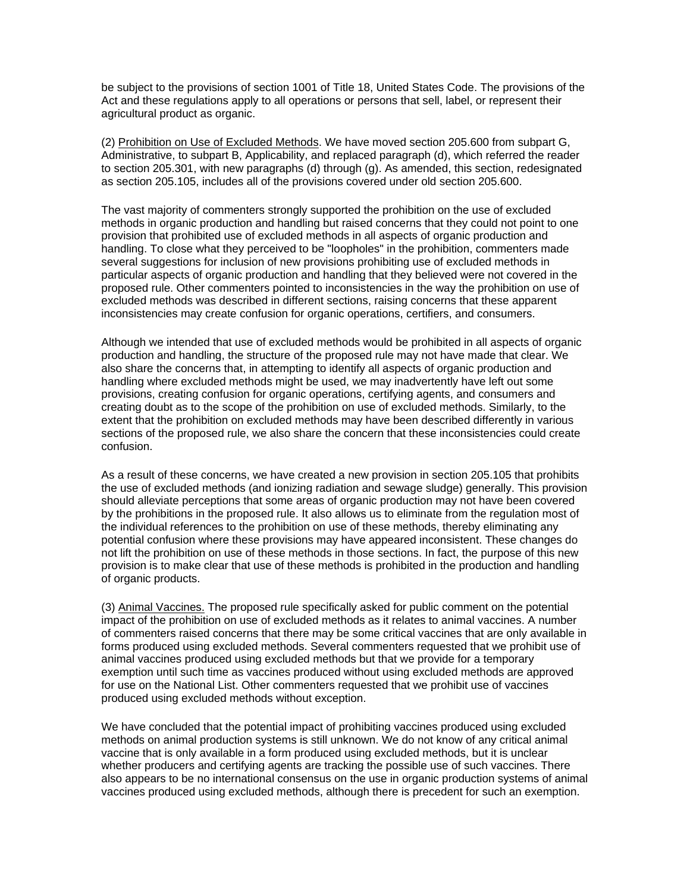be subject to the provisions of section 1001 of Title 18, United States Code. The provisions of the Act and these regulations apply to all operations or persons that sell, label, or represent their agricultural product as organic.

(2) Prohibition on Use of Excluded Methods. We have moved section 205.600 from subpart G, Administrative, to subpart B, Applicability, and replaced paragraph (d), which referred the reader to section 205.301, with new paragraphs (d) through (g). As amended, this section, redesignated as section 205.105, includes all of the provisions covered under old section 205.600.

The vast majority of commenters strongly supported the prohibition on the use of excluded methods in organic production and handling but raised concerns that they could not point to one provision that prohibited use of excluded methods in all aspects of organic production and handling. To close what they perceived to be "loopholes" in the prohibition, commenters made several suggestions for inclusion of new provisions prohibiting use of excluded methods in particular aspects of organic production and handling that they believed were not covered in the proposed rule. Other commenters pointed to inconsistencies in the way the prohibition on use of excluded methods was described in different sections, raising concerns that these apparent inconsistencies may create confusion for organic operations, certifiers, and consumers.

Although we intended that use of excluded methods would be prohibited in all aspects of organic production and handling, the structure of the proposed rule may not have made that clear. We also share the concerns that, in attempting to identify all aspects of organic production and handling where excluded methods might be used, we may inadvertently have left out some provisions, creating confusion for organic operations, certifying agents, and consumers and creating doubt as to the scope of the prohibition on use of excluded methods. Similarly, to the extent that the prohibition on excluded methods may have been described differently in various sections of the proposed rule, we also share the concern that these inconsistencies could create confusion.

As a result of these concerns, we have created a new provision in section 205.105 that prohibits the use of excluded methods (and ionizing radiation and sewage sludge) generally. This provision should alleviate perceptions that some areas of organic production may not have been covered by the prohibitions in the proposed rule. It also allows us to eliminate from the regulation most of the individual references to the prohibition on use of these methods, thereby eliminating any potential confusion where these provisions may have appeared inconsistent. These changes do not lift the prohibition on use of these methods in those sections. In fact, the purpose of this new provision is to make clear that use of these methods is prohibited in the production and handling of organic products.

(3) Animal Vaccines. The proposed rule specifically asked for public comment on the potential impact of the prohibition on use of excluded methods as it relates to animal vaccines. A number of commenters raised concerns that there may be some critical vaccines that are only available in forms produced using excluded methods. Several commenters requested that we prohibit use of animal vaccines produced using excluded methods but that we provide for a temporary exemption until such time as vaccines produced without using excluded methods are approved for use on the National List. Other commenters requested that we prohibit use of vaccines produced using excluded methods without exception.

We have concluded that the potential impact of prohibiting vaccines produced using excluded methods on animal production systems is still unknown. We do not know of any critical animal vaccine that is only available in a form produced using excluded methods, but it is unclear whether producers and certifying agents are tracking the possible use of such vaccines. There also appears to be no international consensus on the use in organic production systems of animal vaccines produced using excluded methods, although there is precedent for such an exemption.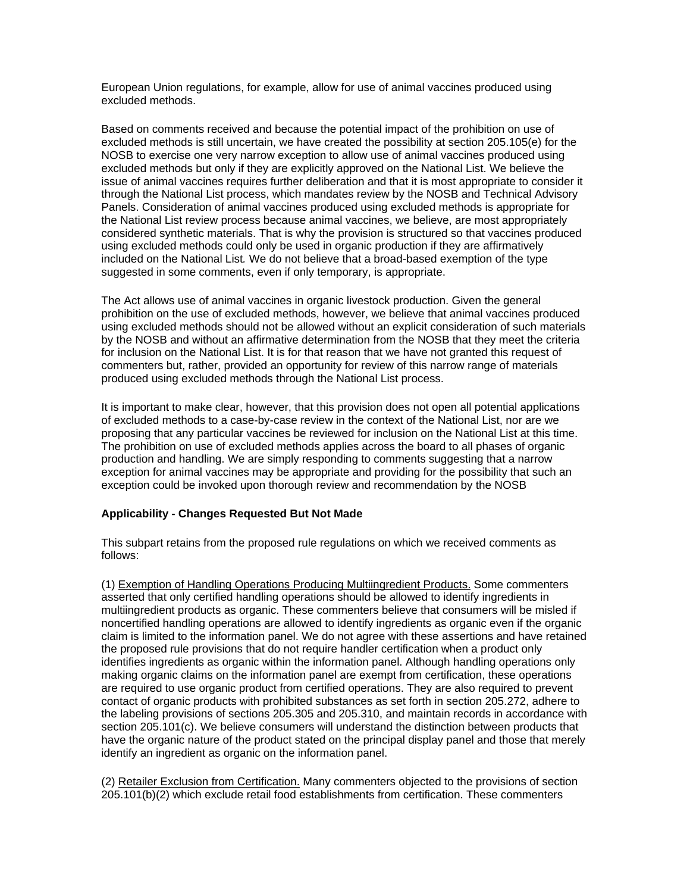European Union regulations, for example, allow for use of animal vaccines produced using excluded methods.

Based on comments received and because the potential impact of the prohibition on use of excluded methods is still uncertain, we have created the possibility at section 205.105(e) for the NOSB to exercise one very narrow exception to allow use of animal vaccines produced using excluded methods but only if they are explicitly approved on the National List. We believe the issue of animal vaccines requires further deliberation and that it is most appropriate to consider it through the National List process, which mandates review by the NOSB and Technical Advisory Panels. Consideration of animal vaccines produced using excluded methods is appropriate for the National List review process because animal vaccines, we believe, are most appropriately considered synthetic materials. That is why the provision is structured so that vaccines produced using excluded methods could only be used in organic production if they are affirmatively included on the National List*.* We do not believe that a broad-based exemption of the type suggested in some comments, even if only temporary, is appropriate.

The Act allows use of animal vaccines in organic livestock production. Given the general prohibition on the use of excluded methods, however, we believe that animal vaccines produced using excluded methods should not be allowed without an explicit consideration of such materials by the NOSB and without an affirmative determination from the NOSB that they meet the criteria for inclusion on the National List. It is for that reason that we have not granted this request of commenters but, rather, provided an opportunity for review of this narrow range of materials produced using excluded methods through the National List process.

It is important to make clear, however, that this provision does not open all potential applications of excluded methods to a case-by-case review in the context of the National List, nor are we proposing that any particular vaccines be reviewed for inclusion on the National List at this time. The prohibition on use of excluded methods applies across the board to all phases of organic production and handling. We are simply responding to comments suggesting that a narrow exception for animal vaccines may be appropriate and providing for the possibility that such an exception could be invoked upon thorough review and recommendation by the NOSB

#### **Applicability - Changes Requested But Not Made**

This subpart retains from the proposed rule regulations on which we received comments as follows:

(1) Exemption of Handling Operations Producing Multiingredient Products. Some commenters asserted that only certified handling operations should be allowed to identify ingredients in multiingredient products as organic. These commenters believe that consumers will be misled if noncertified handling operations are allowed to identify ingredients as organic even if the organic claim is limited to the information panel. We do not agree with these assertions and have retained the proposed rule provisions that do not require handler certification when a product only identifies ingredients as organic within the information panel. Although handling operations only making organic claims on the information panel are exempt from certification, these operations are required to use organic product from certified operations. They are also required to prevent contact of organic products with prohibited substances as set forth in section 205.272, adhere to the labeling provisions of sections 205.305 and 205.310, and maintain records in accordance with section 205.101(c). We believe consumers will understand the distinction between products that have the organic nature of the product stated on the principal display panel and those that merely identify an ingredient as organic on the information panel.

(2) Retailer Exclusion from Certification. Many commenters objected to the provisions of section 205.101(b)(2) which exclude retail food establishments from certification. These commenters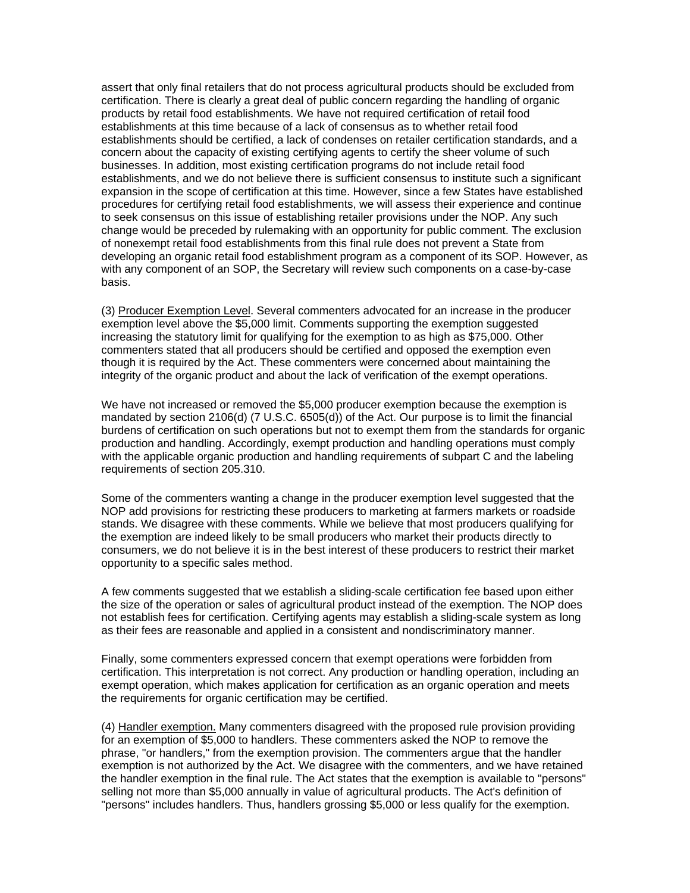assert that only final retailers that do not process agricultural products should be excluded from certification. There is clearly a great deal of public concern regarding the handling of organic products by retail food establishments. We have not required certification of retail food establishments at this time because of a lack of consensus as to whether retail food establishments should be certified, a lack of condenses on retailer certification standards, and a concern about the capacity of existing certifying agents to certify the sheer volume of such businesses. In addition, most existing certification programs do not include retail food establishments, and we do not believe there is sufficient consensus to institute such a significant expansion in the scope of certification at this time. However, since a few States have established procedures for certifying retail food establishments, we will assess their experience and continue to seek consensus on this issue of establishing retailer provisions under the NOP. Any such change would be preceded by rulemaking with an opportunity for public comment. The exclusion of nonexempt retail food establishments from this final rule does not prevent a State from developing an organic retail food establishment program as a component of its SOP. However, as with any component of an SOP, the Secretary will review such components on a case-by-case basis.

(3) Producer Exemption Level. Several commenters advocated for an increase in the producer exemption level above the \$5,000 limit. Comments supporting the exemption suggested increasing the statutory limit for qualifying for the exemption to as high as \$75,000. Other commenters stated that all producers should be certified and opposed the exemption even though it is required by the Act. These commenters were concerned about maintaining the integrity of the organic product and about the lack of verification of the exempt operations.

We have not increased or removed the \$5,000 producer exemption because the exemption is mandated by section 2106(d) (7 U.S.C. 6505(d)) of the Act. Our purpose is to limit the financial burdens of certification on such operations but not to exempt them from the standards for organic production and handling. Accordingly, exempt production and handling operations must comply with the applicable organic production and handling requirements of subpart C and the labeling requirements of section 205.310.

Some of the commenters wanting a change in the producer exemption level suggested that the NOP add provisions for restricting these producers to marketing at farmers markets or roadside stands. We disagree with these comments. While we believe that most producers qualifying for the exemption are indeed likely to be small producers who market their products directly to consumers, we do not believe it is in the best interest of these producers to restrict their market opportunity to a specific sales method.

A few comments suggested that we establish a sliding-scale certification fee based upon either the size of the operation or sales of agricultural product instead of the exemption. The NOP does not establish fees for certification. Certifying agents may establish a sliding-scale system as long as their fees are reasonable and applied in a consistent and nondiscriminatory manner.

Finally, some commenters expressed concern that exempt operations were forbidden from certification. This interpretation is not correct. Any production or handling operation, including an exempt operation, which makes application for certification as an organic operation and meets the requirements for organic certification may be certified.

(4) Handler exemption. Many commenters disagreed with the proposed rule provision providing for an exemption of \$5,000 to handlers. These commenters asked the NOP to remove the phrase, "or handlers," from the exemption provision. The commenters argue that the handler exemption is not authorized by the Act. We disagree with the commenters, and we have retained the handler exemption in the final rule. The Act states that the exemption is available to "persons" selling not more than \$5,000 annually in value of agricultural products. The Act's definition of "persons" includes handlers. Thus, handlers grossing \$5,000 or less qualify for the exemption.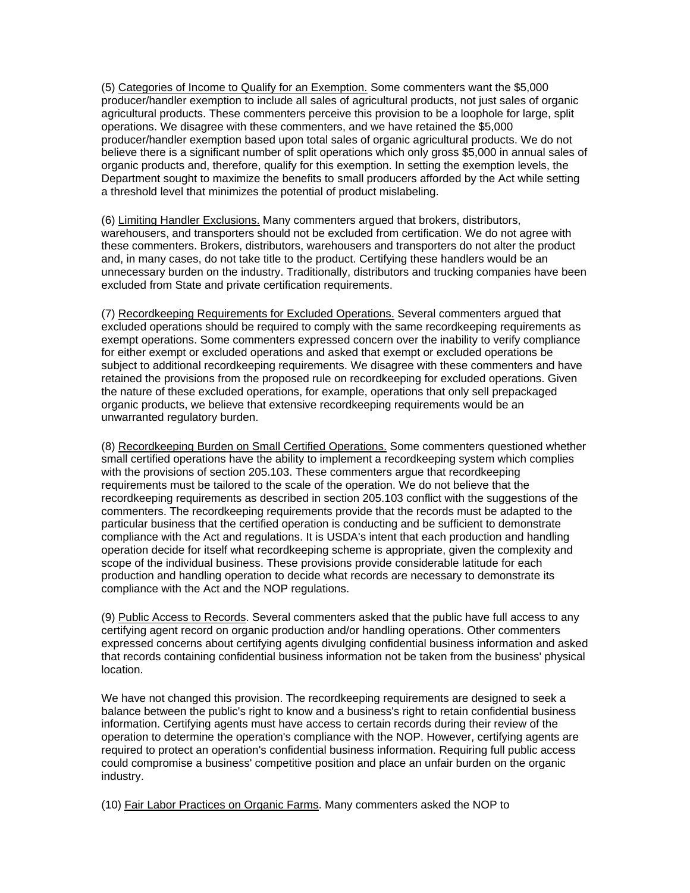(5) Categories of Income to Qualify for an Exemption. Some commenters want the \$5,000 producer/handler exemption to include all sales of agricultural products, not just sales of organic agricultural products. These commenters perceive this provision to be a loophole for large, split operations. We disagree with these commenters, and we have retained the \$5,000 producer/handler exemption based upon total sales of organic agricultural products. We do not believe there is a significant number of split operations which only gross \$5,000 in annual sales of organic products and, therefore, qualify for this exemption. In setting the exemption levels, the Department sought to maximize the benefits to small producers afforded by the Act while setting a threshold level that minimizes the potential of product mislabeling.

(6) Limiting Handler Exclusions. Many commenters argued that brokers, distributors, warehousers, and transporters should not be excluded from certification. We do not agree with these commenters. Brokers, distributors, warehousers and transporters do not alter the product and, in many cases, do not take title to the product. Certifying these handlers would be an unnecessary burden on the industry. Traditionally, distributors and trucking companies have been excluded from State and private certification requirements.

(7) Recordkeeping Requirements for Excluded Operations. Several commenters argued that excluded operations should be required to comply with the same recordkeeping requirements as exempt operations. Some commenters expressed concern over the inability to verify compliance for either exempt or excluded operations and asked that exempt or excluded operations be subject to additional recordkeeping requirements. We disagree with these commenters and have retained the provisions from the proposed rule on recordkeeping for excluded operations. Given the nature of these excluded operations, for example, operations that only sell prepackaged organic products, we believe that extensive recordkeeping requirements would be an unwarranted regulatory burden.

(8) Recordkeeping Burden on Small Certified Operations. Some commenters questioned whether small certified operations have the ability to implement a recordkeeping system which complies with the provisions of section 205.103. These commenters argue that recordkeeping requirements must be tailored to the scale of the operation. We do not believe that the recordkeeping requirements as described in section 205.103 conflict with the suggestions of the commenters. The recordkeeping requirements provide that the records must be adapted to the particular business that the certified operation is conducting and be sufficient to demonstrate compliance with the Act and regulations. It is USDA's intent that each production and handling operation decide for itself what recordkeeping scheme is appropriate, given the complexity and scope of the individual business. These provisions provide considerable latitude for each production and handling operation to decide what records are necessary to demonstrate its compliance with the Act and the NOP regulations.

(9) Public Access to Records. Several commenters asked that the public have full access to any certifying agent record on organic production and/or handling operations. Other commenters expressed concerns about certifying agents divulging confidential business information and asked that records containing confidential business information not be taken from the business' physical location.

We have not changed this provision. The recordkeeping requirements are designed to seek a balance between the public's right to know and a business's right to retain confidential business information. Certifying agents must have access to certain records during their review of the operation to determine the operation's compliance with the NOP. However, certifying agents are required to protect an operation's confidential business information. Requiring full public access could compromise a business' competitive position and place an unfair burden on the organic industry.

(10) Fair Labor Practices on Organic Farms. Many commenters asked the NOP to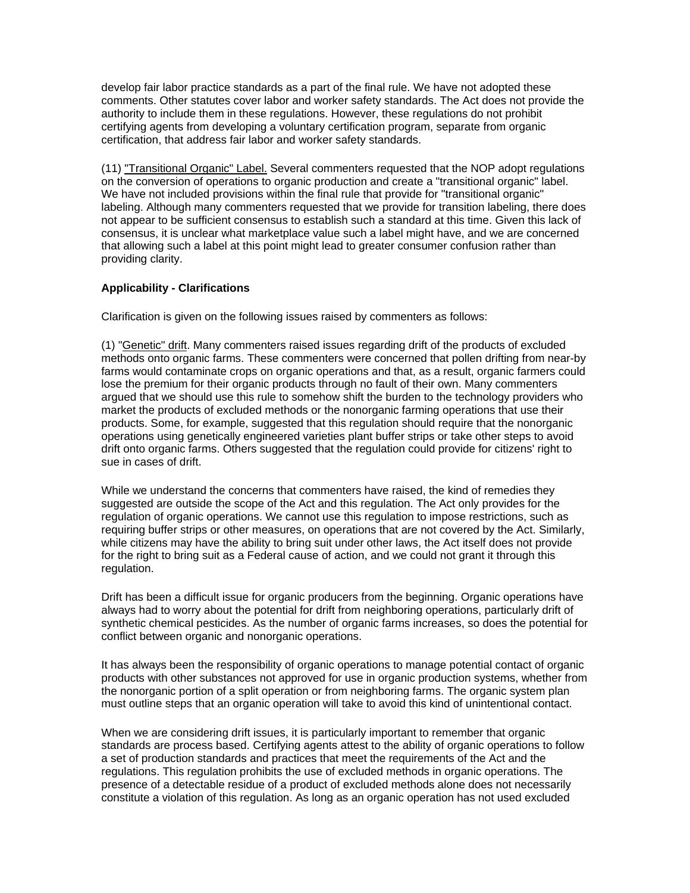develop fair labor practice standards as a part of the final rule. We have not adopted these comments. Other statutes cover labor and worker safety standards. The Act does not provide the authority to include them in these regulations. However, these regulations do not prohibit certifying agents from developing a voluntary certification program, separate from organic certification, that address fair labor and worker safety standards.

(11) "Transitional Organic" Label. Several commenters requested that the NOP adopt regulations on the conversion of operations to organic production and create a "transitional organic" label. We have not included provisions within the final rule that provide for "transitional organic" labeling. Although many commenters requested that we provide for transition labeling, there does not appear to be sufficient consensus to establish such a standard at this time. Given this lack of consensus, it is unclear what marketplace value such a label might have, and we are concerned that allowing such a label at this point might lead to greater consumer confusion rather than providing clarity.

## **Applicability - Clarifications**

Clarification is given on the following issues raised by commenters as follows:

(1) "Genetic" drift. Many commenters raised issues regarding drift of the products of excluded methods onto organic farms. These commenters were concerned that pollen drifting from near-by farms would contaminate crops on organic operations and that, as a result, organic farmers could lose the premium for their organic products through no fault of their own. Many commenters argued that we should use this rule to somehow shift the burden to the technology providers who market the products of excluded methods or the nonorganic farming operations that use their products. Some, for example, suggested that this regulation should require that the nonorganic operations using genetically engineered varieties plant buffer strips or take other steps to avoid drift onto organic farms. Others suggested that the regulation could provide for citizens' right to sue in cases of drift.

While we understand the concerns that commenters have raised, the kind of remedies they suggested are outside the scope of the Act and this regulation. The Act only provides for the regulation of organic operations. We cannot use this regulation to impose restrictions, such as requiring buffer strips or other measures, on operations that are not covered by the Act. Similarly, while citizens may have the ability to bring suit under other laws, the Act itself does not provide for the right to bring suit as a Federal cause of action, and we could not grant it through this regulation.

Drift has been a difficult issue for organic producers from the beginning. Organic operations have always had to worry about the potential for drift from neighboring operations, particularly drift of synthetic chemical pesticides. As the number of organic farms increases, so does the potential for conflict between organic and nonorganic operations.

It has always been the responsibility of organic operations to manage potential contact of organic products with other substances not approved for use in organic production systems, whether from the nonorganic portion of a split operation or from neighboring farms. The organic system plan must outline steps that an organic operation will take to avoid this kind of unintentional contact.

When we are considering drift issues, it is particularly important to remember that organic standards are process based. Certifying agents attest to the ability of organic operations to follow a set of production standards and practices that meet the requirements of the Act and the regulations. This regulation prohibits the use of excluded methods in organic operations. The presence of a detectable residue of a product of excluded methods alone does not necessarily constitute a violation of this regulation. As long as an organic operation has not used excluded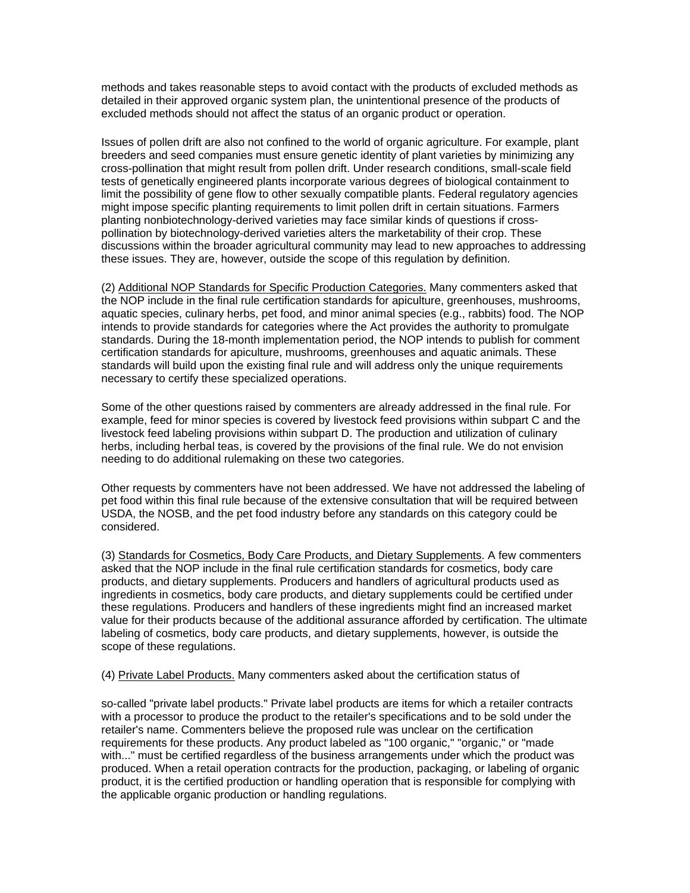methods and takes reasonable steps to avoid contact with the products of excluded methods as detailed in their approved organic system plan, the unintentional presence of the products of excluded methods should not affect the status of an organic product or operation.

Issues of pollen drift are also not confined to the world of organic agriculture. For example, plant breeders and seed companies must ensure genetic identity of plant varieties by minimizing any cross-pollination that might result from pollen drift. Under research conditions, small-scale field tests of genetically engineered plants incorporate various degrees of biological containment to limit the possibility of gene flow to other sexually compatible plants. Federal regulatory agencies might impose specific planting requirements to limit pollen drift in certain situations. Farmers planting nonbiotechnology-derived varieties may face similar kinds of questions if crosspollination by biotechnology-derived varieties alters the marketability of their crop. These discussions within the broader agricultural community may lead to new approaches to addressing these issues. They are, however, outside the scope of this regulation by definition.

(2) Additional NOP Standards for Specific Production Categories. Many commenters asked that the NOP include in the final rule certification standards for apiculture, greenhouses, mushrooms, aquatic species, culinary herbs, pet food, and minor animal species (e.g., rabbits) food. The NOP intends to provide standards for categories where the Act provides the authority to promulgate standards. During the 18-month implementation period, the NOP intends to publish for comment certification standards for apiculture, mushrooms, greenhouses and aquatic animals. These standards will build upon the existing final rule and will address only the unique requirements necessary to certify these specialized operations.

Some of the other questions raised by commenters are already addressed in the final rule. For example, feed for minor species is covered by livestock feed provisions within subpart C and the livestock feed labeling provisions within subpart D. The production and utilization of culinary herbs, including herbal teas, is covered by the provisions of the final rule. We do not envision needing to do additional rulemaking on these two categories.

Other requests by commenters have not been addressed. We have not addressed the labeling of pet food within this final rule because of the extensive consultation that will be required between USDA, the NOSB, and the pet food industry before any standards on this category could be considered.

(3) Standards for Cosmetics, Body Care Products, and Dietary Supplements. A few commenters asked that the NOP include in the final rule certification standards for cosmetics, body care products, and dietary supplements. Producers and handlers of agricultural products used as ingredients in cosmetics, body care products, and dietary supplements could be certified under these regulations. Producers and handlers of these ingredients might find an increased market value for their products because of the additional assurance afforded by certification. The ultimate labeling of cosmetics, body care products, and dietary supplements, however, is outside the scope of these regulations.

(4) Private Label Products. Many commenters asked about the certification status of

so-called "private label products." Private label products are items for which a retailer contracts with a processor to produce the product to the retailer's specifications and to be sold under the retailer's name. Commenters believe the proposed rule was unclear on the certification requirements for these products. Any product labeled as "100 organic," "organic," or "made with..." must be certified regardless of the business arrangements under which the product was produced. When a retail operation contracts for the production, packaging, or labeling of organic product, it is the certified production or handling operation that is responsible for complying with the applicable organic production or handling regulations.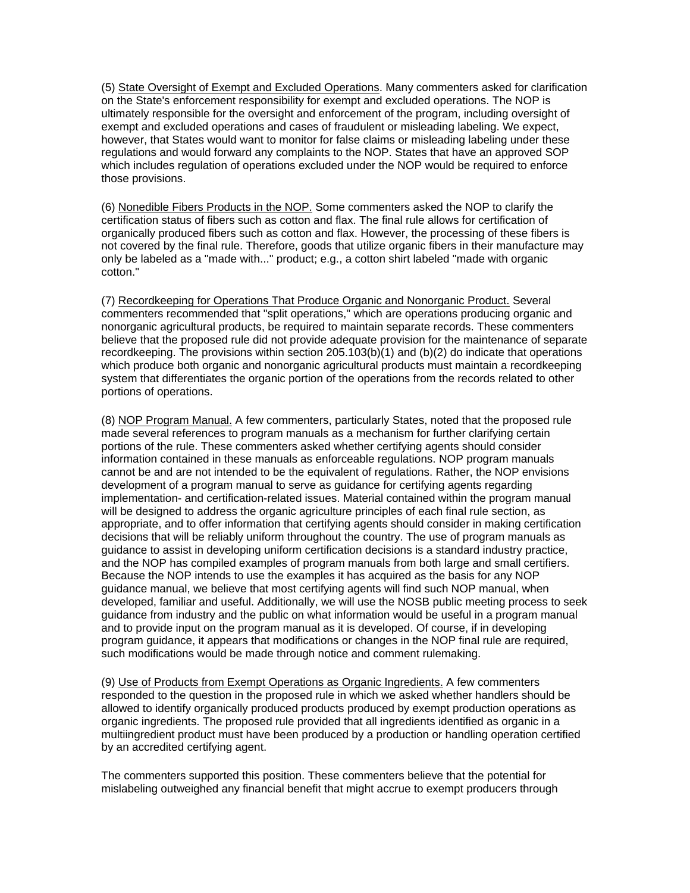(5) State Oversight of Exempt and Excluded Operations. Many commenters asked for clarification on the State's enforcement responsibility for exempt and excluded operations. The NOP is ultimately responsible for the oversight and enforcement of the program, including oversight of exempt and excluded operations and cases of fraudulent or misleading labeling. We expect, however, that States would want to monitor for false claims or misleading labeling under these regulations and would forward any complaints to the NOP. States that have an approved SOP which includes regulation of operations excluded under the NOP would be required to enforce those provisions.

(6) Nonedible Fibers Products in the NOP. Some commenters asked the NOP to clarify the certification status of fibers such as cotton and flax. The final rule allows for certification of organically produced fibers such as cotton and flax. However, the processing of these fibers is not covered by the final rule. Therefore, goods that utilize organic fibers in their manufacture may only be labeled as a "made with..." product; e.g., a cotton shirt labeled "made with organic cotton."

(7) Recordkeeping for Operations That Produce Organic and Nonorganic Product. Several commenters recommended that "split operations," which are operations producing organic and nonorganic agricultural products, be required to maintain separate records. These commenters believe that the proposed rule did not provide adequate provision for the maintenance of separate recordkeeping. The provisions within section 205.103(b)(1) and (b)(2) do indicate that operations which produce both organic and nonorganic agricultural products must maintain a recordkeeping system that differentiates the organic portion of the operations from the records related to other portions of operations.

(8) NOP Program Manual. A few commenters, particularly States, noted that the proposed rule made several references to program manuals as a mechanism for further clarifying certain portions of the rule. These commenters asked whether certifying agents should consider information contained in these manuals as enforceable regulations. NOP program manuals cannot be and are not intended to be the equivalent of regulations. Rather, the NOP envisions development of a program manual to serve as guidance for certifying agents regarding implementation- and certification-related issues. Material contained within the program manual will be designed to address the organic agriculture principles of each final rule section, as appropriate, and to offer information that certifying agents should consider in making certification decisions that will be reliably uniform throughout the country. The use of program manuals as guidance to assist in developing uniform certification decisions is a standard industry practice, and the NOP has compiled examples of program manuals from both large and small certifiers. Because the NOP intends to use the examples it has acquired as the basis for any NOP guidance manual, we believe that most certifying agents will find such NOP manual, when developed, familiar and useful. Additionally, we will use the NOSB public meeting process to seek guidance from industry and the public on what information would be useful in a program manual and to provide input on the program manual as it is developed. Of course, if in developing program guidance, it appears that modifications or changes in the NOP final rule are required, such modifications would be made through notice and comment rulemaking.

(9) Use of Products from Exempt Operations as Organic Ingredients. A few commenters responded to the question in the proposed rule in which we asked whether handlers should be allowed to identify organically produced products produced by exempt production operations as organic ingredients. The proposed rule provided that all ingredients identified as organic in a multiingredient product must have been produced by a production or handling operation certified by an accredited certifying agent.

The commenters supported this position. These commenters believe that the potential for mislabeling outweighed any financial benefit that might accrue to exempt producers through